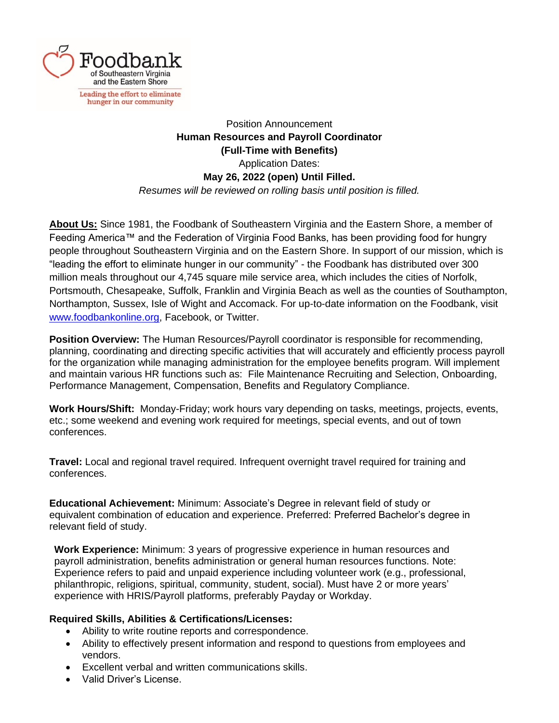

Position Announcement **Human Resources and Payroll Coordinator (Full-Time with Benefits)** Application Dates: **May 26, 2022 (open) Until Filled.** *Resumes will be reviewed on rolling basis until position is filled.*

**About Us:** Since 1981, the Foodbank of Southeastern Virginia and the Eastern Shore, a member of Feeding America™ and the Federation of Virginia Food Banks, has been providing food for hungry people throughout Southeastern Virginia and on the Eastern Shore. In support of our mission, which is "leading the effort to eliminate hunger in our community" - the Foodbank has distributed over 300 million meals throughout our 4,745 square mile service area, which includes the cities of Norfolk, Portsmouth, Chesapeake, Suffolk, Franklin and Virginia Beach as well as the counties of Southampton, Northampton, Sussex, Isle of Wight and Accomack. For up-to-date information on the Foodbank, visit [www.foodbankonline.org,](http://www.foodbankonline.org/) Facebook, or Twitter.

**Position Overview:** The Human Resources/Payroll coordinator is responsible for recommending, planning, coordinating and directing specific activities that will accurately and efficiently process payroll for the organization while managing administration for the employee benefits program. Will implement and maintain various HR functions such as: File Maintenance Recruiting and Selection, Onboarding, Performance Management, Compensation, Benefits and Regulatory Compliance.

**Work Hours/Shift:** Monday-Friday; work hours vary depending on tasks, meetings, projects, events, etc.; some weekend and evening work required for meetings, special events, and out of town conferences.

**Travel:** Local and regional travel required. Infrequent overnight travel required for training and conferences.

**Educational Achievement:** Minimum: Associate's Degree in relevant field of study or equivalent combination of education and experience. Preferred: Preferred Bachelor's degree in relevant field of study.

**Work Experience:** Minimum: 3 years of progressive experience in human resources and payroll administration, benefits administration or general human resources functions. Note: Experience refers to paid and unpaid experience including volunteer work (e.g., professional, philanthropic, religions, spiritual, community, student, social). Must have 2 or more years' experience with HRIS/Payroll platforms, preferably Payday or Workday.

## **Required Skills, Abilities & Certifications/Licenses:**

- Ability to write routine reports and correspondence.
- Ability to effectively present information and respond to questions from employees and vendors.
- Excellent verbal and written communications skills.
- Valid Driver's License.